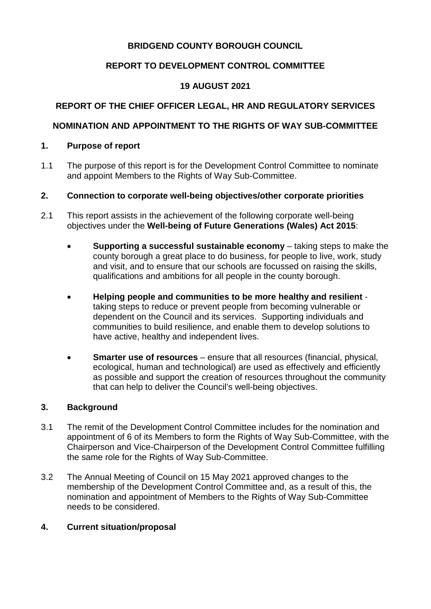## **BRIDGEND COUNTY BOROUGH COUNCIL**

## **REPORT TO DEVELOPMENT CONTROL COMMITTEE**

## **19 AUGUST 2021**

# **REPORT OF THE CHIEF OFFICER LEGAL, HR AND REGULATORY SERVICES**

## **NOMINATION AND APPOINTMENT TO THE RIGHTS OF WAY SUB-COMMITTEE**

### **1. Purpose of report**

1.1 The purpose of this report is for the Development Control Committee to nominate and appoint Members to the Rights of Way Sub-Committee.

### **2. Connection to corporate well-being objectives/other corporate priorities**

- 2.1 This report assists in the achievement of the following corporate well-being objectives under the **Well-being of Future Generations (Wales) Act 2015**:
	- **Supporting a successful sustainable economy** taking steps to make the county borough a great place to do business, for people to live, work, study and visit, and to ensure that our schools are focussed on raising the skills, qualifications and ambitions for all people in the county borough.
	- **Helping people and communities to be more healthy and resilient**  taking steps to reduce or prevent people from becoming vulnerable or dependent on the Council and its services. Supporting individuals and communities to build resilience, and enable them to develop solutions to have active, healthy and independent lives.
	- **Smarter use of resources** ensure that all resources (financial, physical, ecological, human and technological) are used as effectively and efficiently as possible and support the creation of resources throughout the community that can help to deliver the Council's well-being objectives.

#### **3. Background**

- 3.1 The remit of the Development Control Committee includes for the nomination and appointment of 6 of its Members to form the Rights of Way Sub-Committee, with the Chairperson and Vice-Chairperson of the Development Control Committee fulfilling the same role for the Rights of Way Sub-Committee.
- 3.2 The Annual Meeting of Council on 15 May 2021 approved changes to the membership of the Development Control Committee and, as a result of this, the nomination and appointment of Members to the Rights of Way Sub-Committee needs to be considered.

### **4. Current situation/proposal**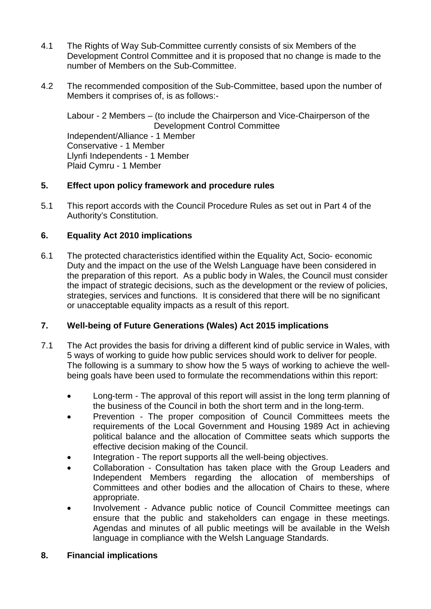- 4.1 The Rights of Way Sub-Committee currently consists of six Members of the Development Control Committee and it is proposed that no change is made to the number of Members on the Sub-Committee.
- 4.2 The recommended composition of the Sub-Committee, based upon the number of Members it comprises of, is as follows:-

Labour - 2 Members – (to include the Chairperson and Vice-Chairperson of the Development Control Committee Independent/Alliance - 1 Member Conservative - 1 Member Llynfi Independents - 1 Member Plaid Cymru - 1 Member

### **5. Effect upon policy framework and procedure rules**

5.1 This report accords with the Council Procedure Rules as set out in Part 4 of the Authority's Constitution.

## **6. Equality Act 2010 implications**

6.1 The protected characteristics identified within the Equality Act, Socio- economic Duty and the impact on the use of the Welsh Language have been considered in the preparation of this report. As a public body in Wales, the Council must consider the impact of strategic decisions, such as the development or the review of policies, strategies, services and functions. It is considered that there will be no significant or unacceptable equality impacts as a result of this report.

# **7. Well-being of Future Generations (Wales) Act 2015 implications**

- 7.1 The Act provides the basis for driving a different kind of public service in Wales, with 5 ways of working to guide how public services should work to deliver for people. The following is a summary to show how the 5 ways of working to achieve the wellbeing goals have been used to formulate the recommendations within this report:
	- Long-term The approval of this report will assist in the long term planning of the business of the Council in both the short term and in the long-term.
	- Prevention The proper composition of Council Committees meets the requirements of the Local Government and Housing 1989 Act in achieving political balance and the allocation of Committee seats which supports the effective decision making of the Council.
	- Integration The report supports all the well-being objectives.
	- Collaboration Consultation has taken place with the Group Leaders and Independent Members regarding the allocation of memberships of Committees and other bodies and the allocation of Chairs to these, where appropriate.
	- Involvement Advance public notice of Council Committee meetings can ensure that the public and stakeholders can engage in these meetings. Agendas and minutes of all public meetings will be available in the Welsh language in compliance with the Welsh Language Standards.
- **8. Financial implications**